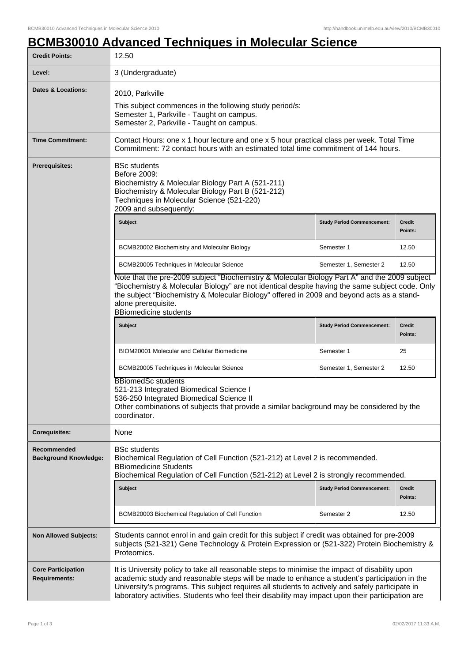## **BCMB30010 Advanced Techniques in Molecular Science**

| <b>Credit Points:</b>                             | 12.50                                                                                                                                                                                                                                                                                                                                                                                                  |                                   |                          |  |
|---------------------------------------------------|--------------------------------------------------------------------------------------------------------------------------------------------------------------------------------------------------------------------------------------------------------------------------------------------------------------------------------------------------------------------------------------------------------|-----------------------------------|--------------------------|--|
| Level:                                            | 3 (Undergraduate)                                                                                                                                                                                                                                                                                                                                                                                      |                                   |                          |  |
| <b>Dates &amp; Locations:</b>                     | 2010, Parkville<br>This subject commences in the following study period/s:<br>Semester 1, Parkville - Taught on campus.<br>Semester 2, Parkville - Taught on campus.                                                                                                                                                                                                                                   |                                   |                          |  |
| <b>Time Commitment:</b>                           | Contact Hours: one x 1 hour lecture and one x 5 hour practical class per week. Total Time<br>Commitment: 72 contact hours with an estimated total time commitment of 144 hours.                                                                                                                                                                                                                        |                                   |                          |  |
| <b>Prerequisites:</b>                             | <b>BSc students</b><br>Before 2009:<br>Biochemistry & Molecular Biology Part A (521-211)<br>Biochemistry & Molecular Biology Part B (521-212)<br>Techniques in Molecular Science (521-220)<br>2009 and subsequently:                                                                                                                                                                                   |                                   |                          |  |
|                                                   | <b>Subject</b>                                                                                                                                                                                                                                                                                                                                                                                         | <b>Study Period Commencement:</b> | <b>Credit</b><br>Points: |  |
|                                                   | BCMB20002 Biochemistry and Molecular Biology                                                                                                                                                                                                                                                                                                                                                           | Semester 1                        | 12.50                    |  |
|                                                   | BCMB20005 Techniques in Molecular Science                                                                                                                                                                                                                                                                                                                                                              | Semester 1, Semester 2            | 12.50                    |  |
|                                                   | Note that the pre-2009 subject "Biochemistry & Molecular Biology Part A" and the 2009 subject<br>"Biochemistry & Molecular Biology" are not identical despite having the same subject code. Only<br>the subject "Biochemistry & Molecular Biology" offered in 2009 and beyond acts as a stand-<br>alone prerequisite.<br><b>BBiomedicine students</b>                                                  |                                   |                          |  |
|                                                   | <b>Subject</b>                                                                                                                                                                                                                                                                                                                                                                                         | <b>Study Period Commencement:</b> | <b>Credit</b><br>Points: |  |
|                                                   | BIOM20001 Molecular and Cellular Biomedicine                                                                                                                                                                                                                                                                                                                                                           | Semester 1                        | 25                       |  |
|                                                   | BCMB20005 Techniques in Molecular Science                                                                                                                                                                                                                                                                                                                                                              | Semester 1, Semester 2            | 12.50                    |  |
|                                                   | <b>BBiomedSc students</b><br>521-213 Integrated Biomedical Science I<br>536-250 Integrated Biomedical Science II<br>Other combinations of subjects that provide a similar background may be considered by the<br>coordinator.                                                                                                                                                                          |                                   |                          |  |
| <b>Corequisites:</b>                              | None                                                                                                                                                                                                                                                                                                                                                                                                   |                                   |                          |  |
| Recommended<br><b>Background Knowledge:</b>       | <b>BSc students</b><br>Biochemical Regulation of Cell Function (521-212) at Level 2 is recommended.<br><b>BBiomedicine Students</b><br>Biochemical Regulation of Cell Function (521-212) at Level 2 is strongly recommended.                                                                                                                                                                           |                                   |                          |  |
|                                                   | <b>Subject</b>                                                                                                                                                                                                                                                                                                                                                                                         | <b>Study Period Commencement:</b> | Credit<br>Points:        |  |
|                                                   | BCMB20003 Biochemical Regulation of Cell Function                                                                                                                                                                                                                                                                                                                                                      | Semester 2                        | 12.50                    |  |
| <b>Non Allowed Subjects:</b>                      | Students cannot enrol in and gain credit for this subject if credit was obtained for pre-2009<br>subjects (521-321) Gene Technology & Protein Expression or (521-322) Protein Biochemistry &<br>Proteomics.                                                                                                                                                                                            |                                   |                          |  |
| <b>Core Participation</b><br><b>Requirements:</b> | It is University policy to take all reasonable steps to minimise the impact of disability upon<br>academic study and reasonable steps will be made to enhance a student's participation in the<br>University's programs. This subject requires all students to actively and safely participate in<br>laboratory activities. Students who feel their disability may impact upon their participation are |                                   |                          |  |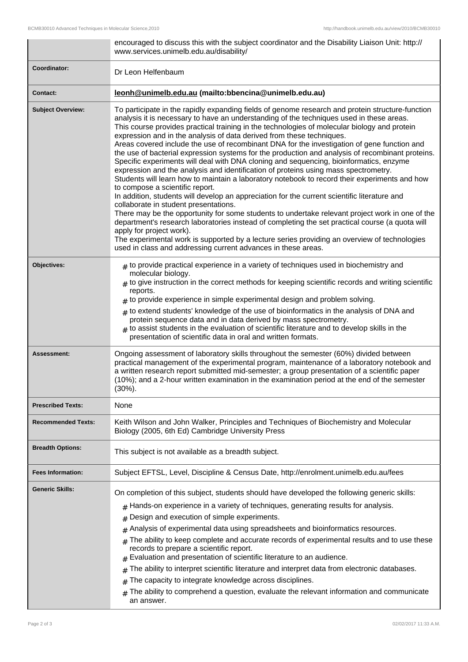|                           | encouraged to discuss this with the subject coordinator and the Disability Liaison Unit: http://<br>www.services.unimelb.edu.au/disability/                                                                                                                                                                                                                                                                                                                                                                                                                                                                                                                                                                                                                                                                                                                                                                                                                                                                                                                                                                                                                                                                                                                                                                                                                                                                                               |  |
|---------------------------|-------------------------------------------------------------------------------------------------------------------------------------------------------------------------------------------------------------------------------------------------------------------------------------------------------------------------------------------------------------------------------------------------------------------------------------------------------------------------------------------------------------------------------------------------------------------------------------------------------------------------------------------------------------------------------------------------------------------------------------------------------------------------------------------------------------------------------------------------------------------------------------------------------------------------------------------------------------------------------------------------------------------------------------------------------------------------------------------------------------------------------------------------------------------------------------------------------------------------------------------------------------------------------------------------------------------------------------------------------------------------------------------------------------------------------------------|--|
| Coordinator:              | Dr Leon Helfenbaum                                                                                                                                                                                                                                                                                                                                                                                                                                                                                                                                                                                                                                                                                                                                                                                                                                                                                                                                                                                                                                                                                                                                                                                                                                                                                                                                                                                                                        |  |
| <b>Contact:</b>           | leonh@unimelb.edu.au (mailto:bbencina@unimelb.edu.au)                                                                                                                                                                                                                                                                                                                                                                                                                                                                                                                                                                                                                                                                                                                                                                                                                                                                                                                                                                                                                                                                                                                                                                                                                                                                                                                                                                                     |  |
| <b>Subject Overview:</b>  | To participate in the rapidly expanding fields of genome research and protein structure-function<br>analysis it is necessary to have an understanding of the techniques used in these areas.<br>This course provides practical training in the technologies of molecular biology and protein<br>expression and in the analysis of data derived from these techniques.<br>Areas covered include the use of recombinant DNA for the investigation of gene function and<br>the use of bacterial expression systems for the production and analysis of recombinant proteins.<br>Specific experiments will deal with DNA cloning and sequencing, bioinformatics, enzyme<br>expression and the analysis and identification of proteins using mass spectrometry.<br>Students will learn how to maintain a laboratory notebook to record their experiments and how<br>to compose a scientific report.<br>In addition, students will develop an appreciation for the current scientific literature and<br>collaborate in student presentations.<br>There may be the opportunity for some students to undertake relevant project work in one of the<br>department's research laboratories instead of completing the set practical course (a quota will<br>apply for project work).<br>The experimental work is supported by a lecture series providing an overview of technologies<br>used in class and addressing current advances in these areas. |  |
| Objectives:               | $#$ to provide practical experience in a variety of techniques used in biochemistry and<br>molecular biology.<br>$_{\#}$ to give instruction in the correct methods for keeping scientific records and writing scientific<br>reports.<br>$*$ to provide experience in simple experimental design and problem solving.<br>$*$ to extend students' knowledge of the use of bioinformatics in the analysis of DNA and<br>protein sequence data and in data derived by mass spectrometry.<br>$#$ to assist students in the evaluation of scientific literature and to develop skills in the<br>presentation of scientific data in oral and written formats.                                                                                                                                                                                                                                                                                                                                                                                                                                                                                                                                                                                                                                                                                                                                                                                   |  |
| <b>Assessment:</b>        | Ongoing assessment of laboratory skills throughout the semester (60%) divided between<br>practical management of the experimental program, maintenance of a laboratory notebook and<br>a written research report submitted mid-semester; a group presentation of a scientific paper<br>(10%); and a 2-hour written examination in the examination period at the end of the semester<br>$(30\%)$ .                                                                                                                                                                                                                                                                                                                                                                                                                                                                                                                                                                                                                                                                                                                                                                                                                                                                                                                                                                                                                                         |  |
| <b>Prescribed Texts:</b>  | None                                                                                                                                                                                                                                                                                                                                                                                                                                                                                                                                                                                                                                                                                                                                                                                                                                                                                                                                                                                                                                                                                                                                                                                                                                                                                                                                                                                                                                      |  |
| <b>Recommended Texts:</b> | Keith Wilson and John Walker, Principles and Techniques of Biochemistry and Molecular<br>Biology (2005, 6th Ed) Cambridge University Press                                                                                                                                                                                                                                                                                                                                                                                                                                                                                                                                                                                                                                                                                                                                                                                                                                                                                                                                                                                                                                                                                                                                                                                                                                                                                                |  |
| <b>Breadth Options:</b>   | This subject is not available as a breadth subject.                                                                                                                                                                                                                                                                                                                                                                                                                                                                                                                                                                                                                                                                                                                                                                                                                                                                                                                                                                                                                                                                                                                                                                                                                                                                                                                                                                                       |  |
| <b>Fees Information:</b>  | Subject EFTSL, Level, Discipline & Census Date, http://enrolment.unimelb.edu.au/fees                                                                                                                                                                                                                                                                                                                                                                                                                                                                                                                                                                                                                                                                                                                                                                                                                                                                                                                                                                                                                                                                                                                                                                                                                                                                                                                                                      |  |
| <b>Generic Skills:</b>    | On completion of this subject, students should have developed the following generic skills:<br>Hands-on experience in a variety of techniques, generating results for analysis.<br>#<br>Design and execution of simple experiments.<br>#<br>Analysis of experimental data using spreadsheets and bioinformatics resources.<br>#<br>The ability to keep complete and accurate records of experimental results and to use these<br>#<br>records to prepare a scientific report.<br>Evaluation and presentation of scientific literature to an audience.<br>The ability to interpret scientific literature and interpret data from electronic databases.<br>#<br>The capacity to integrate knowledge across disciplines.<br>#<br>The ability to comprehend a question, evaluate the relevant information and communicate<br>#<br>an answer.                                                                                                                                                                                                                                                                                                                                                                                                                                                                                                                                                                                                  |  |